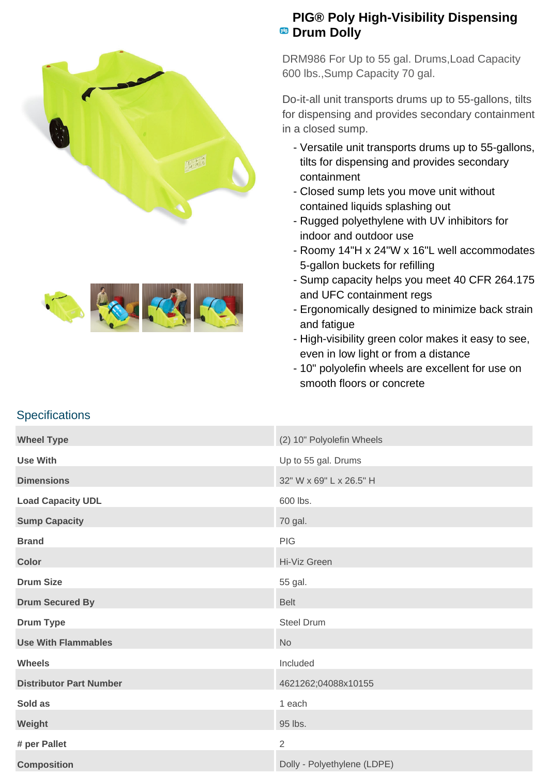



## **PIG® Poly High-Visibility Dispensing Pig** Drum Dolly

DRM986 For Up to 55 gal. Drums,Load Capacity 600 lbs.,Sump Capacity 70 gal.

Do-it-all unit transports drums up to 55-gallons, tilts for dispensing and provides secondary containment in a closed sump.

- Versatile unit transports drums up to 55-gallons, tilts for dispensing and provides secondary containment
- Closed sump lets you move unit without contained liquids splashing out
- Rugged polyethylene with UV inhibitors for indoor and outdoor use
- Roomy 14"H x 24"W x 16"L well accommodates 5-gallon buckets for refilling
- Sump capacity helps you meet 40 CFR 264.175 and UFC containment regs
- Ergonomically designed to minimize back strain and fatigue
- High-visibility green color makes it easy to see, even in low light or from a distance
- 10" polyolefin wheels are excellent for use on smooth floors or concrete

## **Specifications**

| <b>Wheel Type</b>              | (2) 10" Polyolefin Wheels   |
|--------------------------------|-----------------------------|
| <b>Use With</b>                | Up to 55 gal. Drums         |
| <b>Dimensions</b>              | 32" W x 69" L x 26.5" H     |
| <b>Load Capacity UDL</b>       | 600 lbs.                    |
| <b>Sump Capacity</b>           | 70 gal.                     |
| <b>Brand</b>                   | <b>PIG</b>                  |
| <b>Color</b>                   | Hi-Viz Green                |
| <b>Drum Size</b>               | 55 gal.                     |
| <b>Drum Secured By</b>         | <b>Belt</b>                 |
| <b>Drum Type</b>               | <b>Steel Drum</b>           |
| <b>Use With Flammables</b>     | <b>No</b>                   |
| <b>Wheels</b>                  | Included                    |
| <b>Distributor Part Number</b> | 4621262;04088x10155         |
| Sold as                        | 1 each                      |
| Weight                         | 95 lbs.                     |
| # per Pallet                   | $\overline{2}$              |
| <b>Composition</b>             | Dolly - Polyethylene (LDPE) |